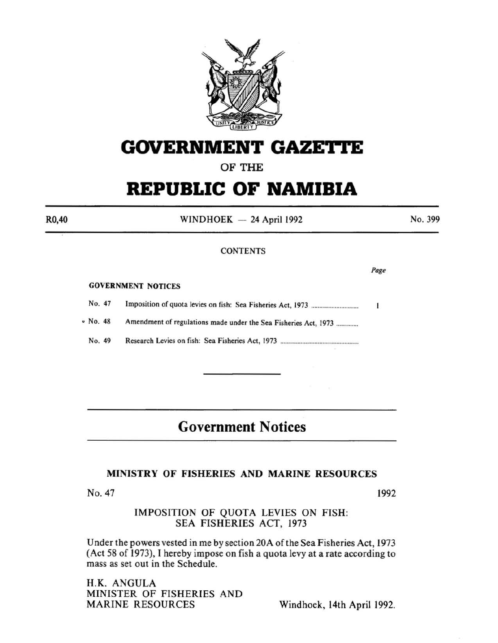

# **GOVERNMENT GAZETTE**

OF THE

# **REPUBLIC OF NAMIBIA**

R0,40

WINDHOEK  $-24$  April 1992

No. 399

# **CONTENTS**

*Page* 

#### GOVERNMENT NOTICES

| No. 47         |                                                                 |  |
|----------------|-----------------------------------------------------------------|--|
| $\cdot$ No. 48 | Amendment of regulations made under the Sea Fisheries Act, 1973 |  |
| No. 49         |                                                                 |  |

# **Government Notices**

# MINISTRY OF FISHERIES AND MARINE RESOURCES

No. 47 1992

# IMPOSITION OF QUOTA LEVIES ON FISH: SEA FISHERIES ACT, 1973

Under the powers vested in me by section 20A of the Sea Fisheries Act, 1973 (Act 58 of 1973), I hereby impose on fish a quota levy at a rate according to mass as set out in the Schedule.

H.K. ANGULA MINISTER OF FISHERIES AND<br>MARINE RESOURCES

Windhoek, 14th April 1992.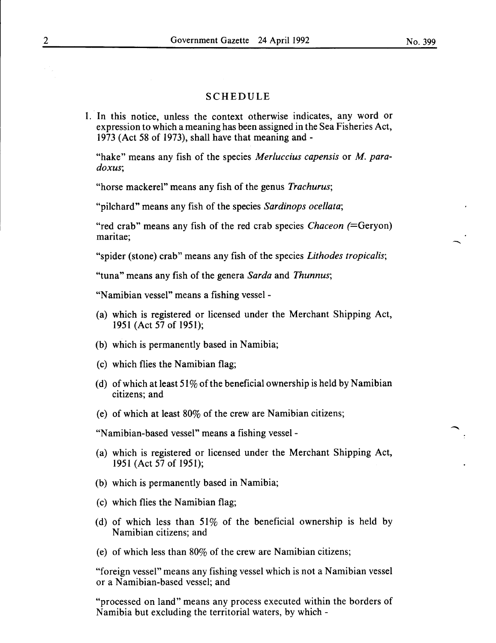#### SCHEDULE

I. In this notice, unless the context otherwise indicates, any word or expression to which a meaning has been assigned in the Sea Fisheries Act, 1973 (Act 58 of 1973), shall have that meaning and-

"hake" means any fish of the species *Merluccius capensis* or *M. paradoxus;* 

"horse mackerel" means any fish of the genus *Trachurus;* 

"pilchard" means any fish of the species *Sardinops ocellata;* 

"red crab" means any fish of the red crab species *Chaceon* (=Geryon) maritae;

"spider (stone) crab" means any fish of the species *Lithodes tropicalis;* 

"tuna" means any fish of the genera *Sarda* and *Thunnus;* 

"Namibian vessel" means a fishing vessel-

- (a) which is registered or licensed under the Merchant Shipping Act, 1951 (Act 57 of 1951);
- (b) which is permanently based in Namibia;
- (c) which flies the Namibian flag;
- (d) of which at least  $51\%$  of the beneficial ownership is held by Namibian citizens; and
- (e) of which at least 80% of the crew are Namibian citizens;

"Namibian-based vessel" means a fishing vessel-

- (a) which is registered or licensed under the Merchant Shipping Act, 1951 (Act 57 of 1951);
- (b) which is permanently based in Namibia;
- (c) which flies the Namibian flag;
- (d) of which less than  $51\%$  of the beneficial ownership is held by Namibian citizens; and
- (e) of which less than  $80\%$  of the crew are Namibian citizens;

"foreign vessel" means any fishing vessel which is not a Namibian vessel or a Namibian-based vessel; and

"processed on land" means any process executed within the borders of Namibia but excluding the territorial waters, by which -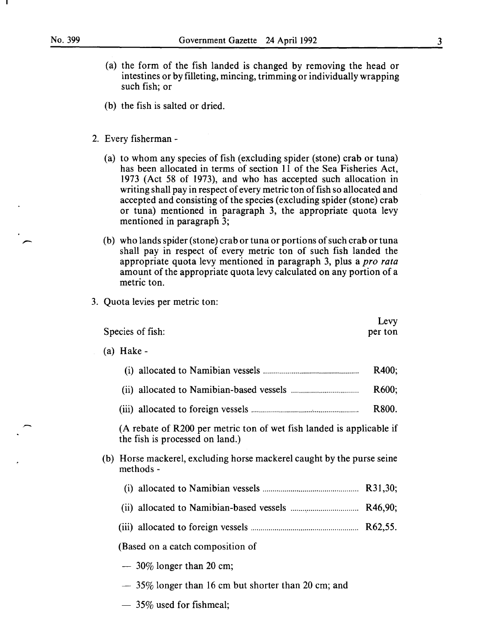- (a) the form of the fish landed is changed by removing the head or intestines or by filleting, mincing, trimming or individually wrapping such fish; or
- (b) the fish is salted or dried.
- 2. Every fisherman
	- (a) to whom any species of fish (excluding spider (stone) crab or tuna) has been allocated in terms of section 11 of the Sea Fisheries Act, 1973 (Act 58 of 1973), and who has accepted such allocation in writing shall pay in respect of every metric ton of fish so allocated and accepted and consisting of the species (excluding spider (stone) crab or tuna) mentioned in paragraph 3, the appropriate quota levy mentioned in paragraph 3;
	- (b) who lands spider(stone) crab or tuna or portions of such crab or tuna shall pay in respect of every metric ton of such fish landed the appropriate quota levy mentioned in paragraph 3, plus a *pro rata*  amount of the appropriate quota levy calculated on any portion of a metric ton.
- 3. Quota levies per metric ton:

|                                                                                                         | Levy    |
|---------------------------------------------------------------------------------------------------------|---------|
| Species of fish:                                                                                        | per ton |
| $(a)$ Hake -                                                                                            |         |
|                                                                                                         | R400;   |
|                                                                                                         | R600;   |
|                                                                                                         | R800.   |
| (A rebate of R200 per metric ton of wet fish landed is applicable if<br>the fish is processed on land.) |         |
| (b) Horse mackerel, excluding horse mackerel caught by the purse seine<br>methods -                     |         |
|                                                                                                         |         |
|                                                                                                         |         |
|                                                                                                         |         |
| (Based on a catch composition of                                                                        |         |
| $-30\%$ longer than 20 cm;                                                                              |         |
| $-35\%$ longer than 16 cm but shorter than 20 cm; and                                                   |         |

 $-$  35% used for fishmeal;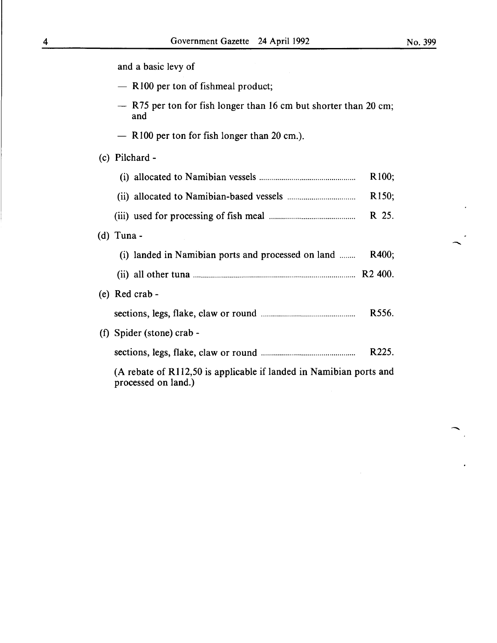.........

 $\sum_{i=1}^n$ 

 $\ddot{\phantom{a}}$ 

| and a basic levy of                                                                       |                    |
|-------------------------------------------------------------------------------------------|--------------------|
| $-$ R100 per ton of fishmeal product;                                                     |                    |
| $-$ R75 per ton for fish longer than 16 cm but shorter than 20 cm;<br>and                 |                    |
| $-$ R100 per ton for fish longer than 20 cm.).                                            |                    |
| (c) Pilchard -                                                                            |                    |
|                                                                                           | R <sub>100</sub> ; |
|                                                                                           | R <sub>150</sub> ; |
|                                                                                           | R 25.              |
| $(d)$ Tuna -                                                                              |                    |
| (i) landed in Namibian ports and processed on land                                        | R400;              |
|                                                                                           |                    |
| (e) Red crab -                                                                            |                    |
|                                                                                           | R <sub>556</sub> . |
| (f) Spider (stone) crab -                                                                 |                    |
|                                                                                           | R <sub>225</sub> . |
| (A rebate of R112,50 is applicable if landed in Namibian ports and<br>processed on land.) |                    |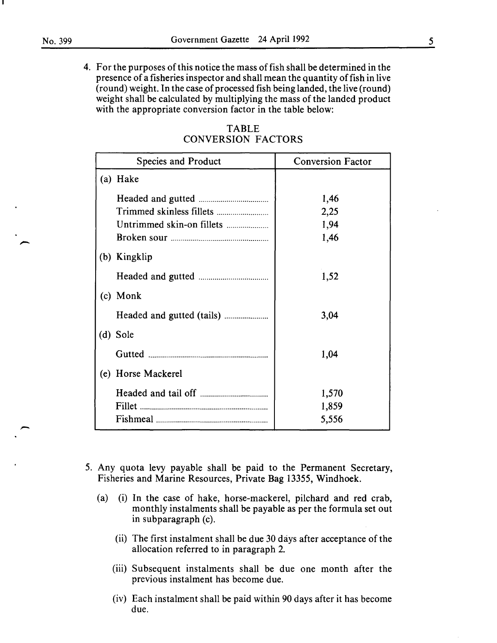-

4. For the purposes of this notice the mass of fish shall be determined in the presence of a fisheries inspector and shall mean the quantity of fish in live (round) weight. In the case of processed fish being landed, the live (round) weight shall be calculated by multiplying the mass of the landed product with the appropriate conversion factor in the table below:

| <b>Species and Product</b> | <b>Conversion Factor</b> |
|----------------------------|--------------------------|
| (a) Hake                   |                          |
|                            | 1,46                     |
|                            | 2,25                     |
| Untrimmed skin-on fillets  | 1,94                     |
|                            | 1,46                     |
| (b) Kingklip               |                          |
|                            | 1,52                     |
| (c) Monk                   |                          |
|                            | 3,04                     |
| (d) Sole                   |                          |
|                            | 1,04                     |
| (e) Horse Mackerel         |                          |
|                            | 1,570                    |
| Fillet                     | 1,859                    |
|                            | 5,556                    |

TABLE CONVERSION FACTORS

- 5. Any quota levy payable shall be paid to the Permanent Secretary, Fisheries and Marine Resources, Private Bag 13355, Windhoek.
	- (a) (i) In the case of hake, horse-mackerel, pilchard and red crab, monthly instalments shall be payable as per the formula set out in subparagraph (c).
		- (ii) The first instalment shall be due 30 days after acceptance of the allocation referred to in paragraph 2.
		- (iii) Subsequent instalments shall be due one month after the previous instalment has become due.
		- (iv) Each instalment shall be paid within 90 days after it has become due.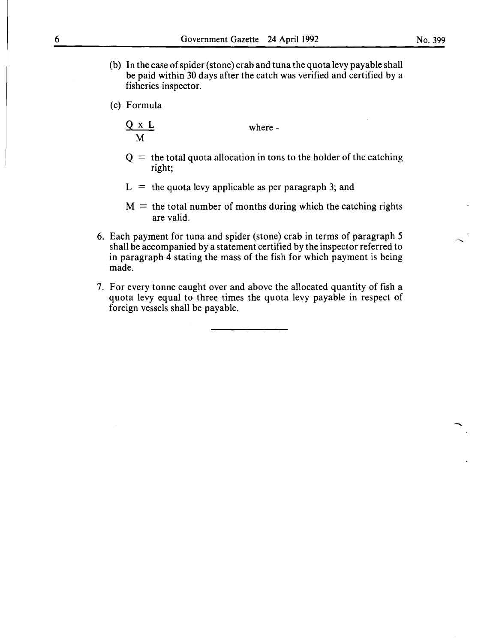- (b) In the case of spider (stone) crab and tuna the quota levy payable shall be paid within 30 days after the catch was verified and certified by a fisheries inspector.
- (c) Formula

$$
\frac{Q \times L}{M}
$$
 where -

- $Q =$  the total quota allocation in tons to the holder of the catching right;
- $L =$  the quota levy applicable as per paragraph 3; and
- $M =$  the total number of months during which the catching rights are valid.
- 6. Each payment for tuna and spider (stone) crab in terms of paragraph 5 shall be accompanied by a statement certified by the inspector referred to in paragraph  $\overline{4}$  stating the mass of the fish for which payment is being made.
- 7. For every tonne caught over and above the allocated quantity of fish a quota levy equal to three times the quota levy payable in respect of foreign vessels shall be payable.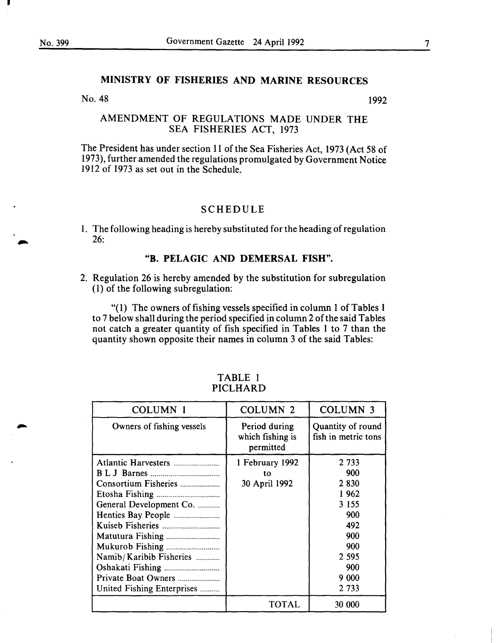I

# MINISTRY OF FISHERIES AND MARINE RESOURCES

#### No. 48

1992

# AMENDMENT OF REGULATIONS MADE UNDER THE SEA FISHERIES ACT, 1973

The President has under section 11 of the Sea Fisheries Act, 1973 (Act 58 of 1973), further amended the regulations promulgated by Government Notice 19I2 of I973 as set out in the Schedule.

## SCHEDULE

I. The following heading is hereby substituted for the heading of regulation 26:

#### "B. PELAGIC AND DEMERSAL FISH".

2. Regulation 26 is hereby amended by the substitution for subregulation (I) of the following subregulation:

"(I) The owners of fishing vessels specified in column I of Tables I to 7 below shall during the period specified in column 2 of the said Tables not catch a greater quantity of fish specified in Tables I to 7 than the quantity shown opposite their names in column 3 of the said Tables:

| COLUMN 1                                                                                                                                                                                                            | <b>COLUMN 2</b>                                | <b>COLUMN 3</b>                                                                                                  |
|---------------------------------------------------------------------------------------------------------------------------------------------------------------------------------------------------------------------|------------------------------------------------|------------------------------------------------------------------------------------------------------------------|
| Owners of fishing vessels                                                                                                                                                                                           | Period during<br>which fishing is<br>permitted | Quantity of round<br>fish in metric tons                                                                         |
| Atlantic Harvesters<br>Consortium Fisheries<br>General Development Co.<br>Henties Bay People<br>Matutura Fishing<br>Mukurob Fishing<br>Namib/Karibib Fisheries<br>Private Boat Owners<br>United Fishing Enterprises | 1 February 1992<br>to<br>30 April 1992         | 2 7 3 3<br>900<br>2 8 3 0<br>1962<br>3 1 5 5<br>900<br>492<br>900<br>900<br>2 5 9 5<br>900<br>9 0 0 0<br>2 7 3 3 |
|                                                                                                                                                                                                                     | TOTAL                                          | 30 000                                                                                                           |

#### TABLE I PICLHARD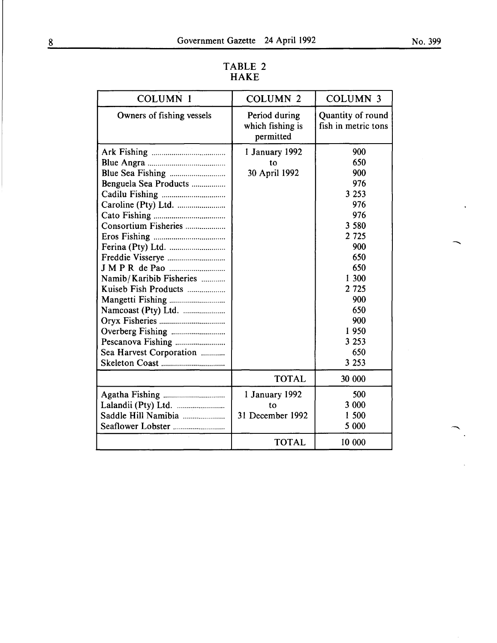| <b>COLUMN 1</b>                                                                                                                                                                                                                                      | <b>COLUMN 2</b>                                | <b>COLUMN 3</b>                                                                                                                                                 |
|------------------------------------------------------------------------------------------------------------------------------------------------------------------------------------------------------------------------------------------------------|------------------------------------------------|-----------------------------------------------------------------------------------------------------------------------------------------------------------------|
| Owners of fishing vessels                                                                                                                                                                                                                            | Period during<br>which fishing is<br>permitted | Quantity of round<br>fish in metric tons                                                                                                                        |
| Blue Sea Fishing<br>Benguela Sea Products<br>Cadilu Fishing<br>Consortium Fisheries<br>Freddie Visserye<br>Namib/Karibib Fisheries<br>Kuiseb Fish Products<br>Mangetti Fishing<br>Namcoast (Pty) Ltd.<br>Overberg Fishing<br>Sea Harvest Corporation | 1 January 1992<br>to<br>30 April 1992          | 900<br>650<br>900<br>976<br>3 2 5 3<br>976<br>976<br>3 5 8 0<br>2 7 2 5<br>900<br>650<br>650<br>1 300<br>2 7 2 5<br>900<br>650<br>900<br>1950<br>3 2 5 3<br>650 |
|                                                                                                                                                                                                                                                      |                                                | 3 2 5 3                                                                                                                                                         |
|                                                                                                                                                                                                                                                      | <b>TOTAL</b>                                   | 30 000                                                                                                                                                          |
| Saddle Hill Namibia<br>Seaflower Lobster                                                                                                                                                                                                             | 1 January 1992<br>tο<br>31 December 1992       | 500<br>3 000<br>1 500<br>5 000                                                                                                                                  |
|                                                                                                                                                                                                                                                      | <b>TOTAL</b>                                   | 10 000                                                                                                                                                          |

### TABLE 2 HAKE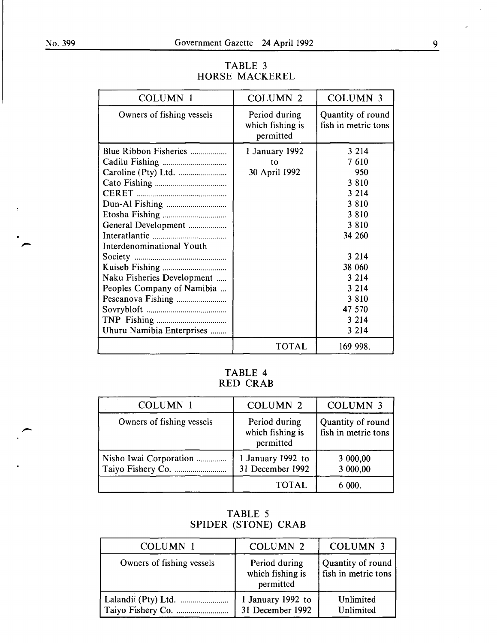| TABLE 3 |                       |  |
|---------|-----------------------|--|
|         | <b>HORSE MACKEREL</b> |  |

| <b>COLUMN 1</b>            | <b>COLUMN 2</b>                                | <b>COLUMN 3</b>                          |
|----------------------------|------------------------------------------------|------------------------------------------|
| Owners of fishing vessels  | Period during<br>which fishing is<br>permitted | Quantity of round<br>fish in metric tons |
| Blue Ribbon Fisheries      | 1 January 1992<br>to                           | 3 2 1 4<br>7610                          |
|                            | 30 April 1992                                  | 950                                      |
|                            |                                                | 3810                                     |
|                            |                                                | 3 2 1 4                                  |
| Dun-Al Fishing             |                                                | 3810                                     |
|                            |                                                | 3810                                     |
| General Development        |                                                | 3810                                     |
|                            |                                                | 34 260                                   |
| Interdenominational Youth  |                                                |                                          |
|                            |                                                | 3 2 1 4                                  |
|                            |                                                | 38 060                                   |
| Naku Fisheries Development |                                                | 3 2 1 4                                  |
| Peoples Company of Namibia |                                                | 3 2 1 4                                  |
|                            |                                                | 3810                                     |
|                            |                                                | 47 570                                   |
|                            |                                                | 3 2 1 4                                  |
| Uhuru Namibia Enterprises  |                                                | 3 2 1 4                                  |
|                            | <b>TOTAL</b>                                   | 169 998.                                 |

# TABLE 4 RED CRAB

| <b>COLUMN 1</b>           | <b>COLUMN 2</b>                                | COLUMN <sub>3</sub>                      |
|---------------------------|------------------------------------------------|------------------------------------------|
| Owners of fishing vessels | Period during<br>which fishing is<br>permitted | Quantity of round<br>fish in metric tons |
| Nisho Iwai Corporation    | 1 January 1992 to<br>31 December 1992          | 3 000,00<br>3 000,00                     |
|                           | <b>TOTAL</b>                                   | 6 000.                                   |

# TABLE 5 SPIDER (STONE) CRAB

| COLUMN 1                  | <b>COLUMN 2</b>                                | <b>COLUMN 3</b>                          |
|---------------------------|------------------------------------------------|------------------------------------------|
| Owners of fishing vessels | Period during<br>which fishing is<br>permitted | Quantity of round<br>fish in metric tons |
|                           | 1 January 1992 to<br>31 December 1992          | Unlimited<br>Unlimited                   |

 $\overline{a}$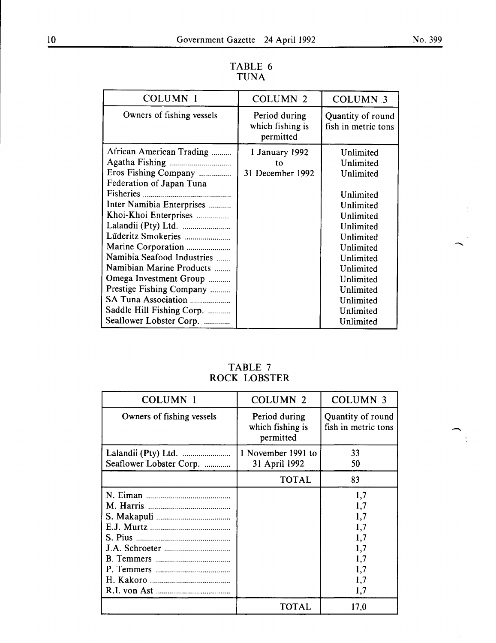**•** 

 $\frac{1}{2}$ 

| <b>COLUMN 2</b>                                | COLUMN <sub>3</sub>                                                                                                                                                                             |
|------------------------------------------------|-------------------------------------------------------------------------------------------------------------------------------------------------------------------------------------------------|
| Period during<br>which fishing is<br>permitted | Quantity of round<br>fish in metric tons                                                                                                                                                        |
| 1 January 1992<br>tο<br>31 December 1992       | Unlimited<br>Unlimited<br>Unlimited<br>Unlimited<br>Unlimited<br>Unlimited<br>Unlimited<br>Unlimited<br>Unlimited<br>Unlimited<br>Unlimited<br>Unlimited<br>Unlimited<br>Unlimited<br>Unlimited |
|                                                | Unlimited                                                                                                                                                                                       |
|                                                |                                                                                                                                                                                                 |

#### TABLE 6 TUNA

# TABLE 7 ROCK LOBSTER

| COLUMN 1                  | <b>COLUMN 2</b>                                | <b>COLUMN 3</b>                                                    |
|---------------------------|------------------------------------------------|--------------------------------------------------------------------|
| Owners of fishing vessels | Period during<br>which fishing is<br>permitted | Quantity of round<br>fish in metric tons                           |
| Seaflower Lobster Corp.   | 1 November 1991 to<br>31 April 1992            | 33<br>50                                                           |
|                           | <b>TOTAL</b>                                   | 83                                                                 |
|                           |                                                | 1,7<br>1,7<br>1,7<br>1,7<br>1,7<br>1,7<br>1,7<br>1,7<br>1,7<br>1,7 |
|                           | <b>TOTAL</b>                                   | 17,0                                                               |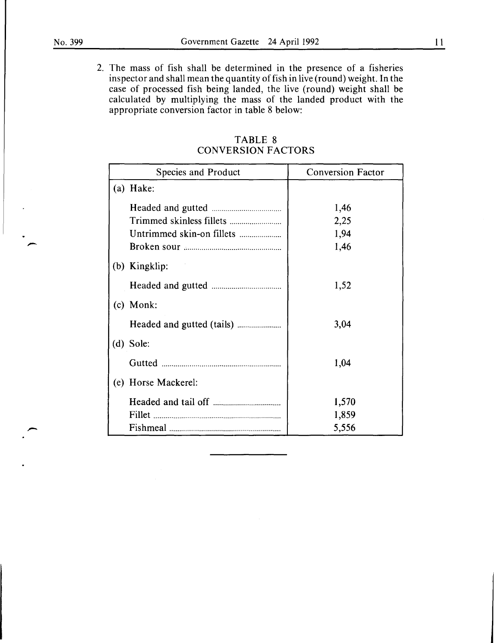-

2. The mass of fish shall be determined in the presence of a fisheries inspector and shall mean the quantity of fish in live (round) weight. In the case of processed fish being landed, the live (round) weight shall be calculated by multiplying the mass of the landed product with the appropriate conversion factor in table 8 below:

| Species and Product |                           | <b>Conversion Factor</b> |  |
|---------------------|---------------------------|--------------------------|--|
|                     | (a) Hake:                 |                          |  |
|                     |                           | 1,46<br>2,25             |  |
|                     | Untrimmed skin-on fillets | 1,94                     |  |
|                     |                           | 1,46                     |  |
| (b)                 | Kingklip:                 |                          |  |
|                     |                           | 1,52                     |  |
|                     | (c) Monk:                 |                          |  |
|                     |                           | 3,04                     |  |
|                     | $(d)$ Sole:               |                          |  |
|                     |                           | 1,04                     |  |
| (e)                 | Horse Mackerel:           |                          |  |
|                     |                           | 1,570                    |  |
|                     | Fillet                    | 1,859                    |  |
|                     |                           | 5,556                    |  |

# TABLE 8 CONVERSION FACTORS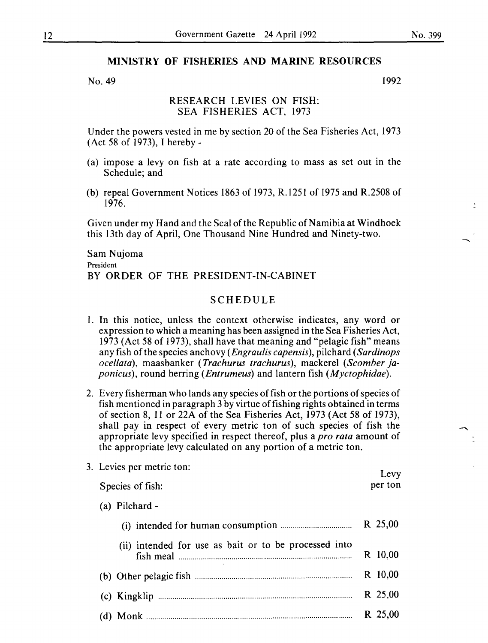# **MINISTRY OF FISHERIES AND MARINE RESOURCES**

 $N<sub>0</sub>$ , 49 1992

# RESEARCH LEVIES ON FISH: SEA FISHERIES ACT, 1973

Under the powers vested in me by section 20 of the Sea Fisheries Act, 1973 (Act 58 of 1973), I hereby-

- (a) impose a levy on fish at a rate according to mass as set out in the Schedule; and
- (b) repeal Government Notices 1863 of 1973, R.1251 of 1975 and R.2508 of 1976.

Given under my Hand and the Seal of the Republic of Namibia at Windhoek this 13th day of April, One Thousand Nine Hundred and Ninety-two.

Sam Nujoma President BY ORDER OF THE PRESIDENT-IN-CABINET

## SCHEDULE

- I. In this notice, unless the context otherwise indicates, any word or expression to which a meaning has been assigned in the Sea Fisheries Act, 1973 (Act 58 of 1973), shall have that meaning and "pelagic fish" means any fish of the species anchovy *(Engraulis capensis),* pilchard *(Sardinops ocellata),* maasbanker ( *Trachurus trachurus),* mackerel *(Scomber japonicus),* round herring *(Entrumeus)* and lantern fish *(Myctophidae).*
- 2. Every fisherman who lands any species of fish or the portions of species of fish mentioned in paragraph 3 by virtue of fishing rights obtained in terms of section 8, II or 22A of the Sea Fisheries Act, 1973 (Act 58 of 1973), shall pay in respect of every metric ton of such species of fish the appropriate levy specified in respect thereof, plus a *pro rata* amount of the appropriate levy calculated on any portion of a metric ton.

| 3. Levies per metric ton:                             |                 |
|-------------------------------------------------------|-----------------|
| Species of fish:                                      | Levy<br>per ton |
| (a) Pilchard -                                        |                 |
|                                                       | R 25,00         |
| (ii) intended for use as bait or to be processed into | R 10,00         |
|                                                       | R 10,00         |
|                                                       | R 25,00         |
|                                                       | R 25,00         |

-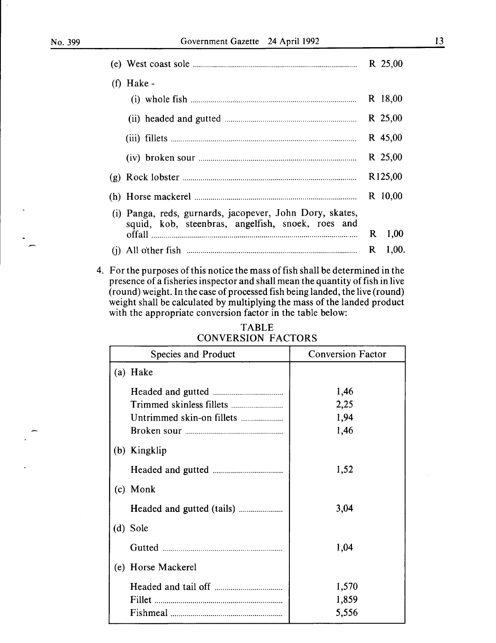|                                                                                                               |    | R 25,00             |
|---------------------------------------------------------------------------------------------------------------|----|---------------------|
| Hake -<br>(f)                                                                                                 |    |                     |
|                                                                                                               |    | R 18,00             |
|                                                                                                               |    | R 25,00             |
|                                                                                                               |    | R 45,00             |
|                                                                                                               |    | R 25,00             |
|                                                                                                               |    | R <sub>125,00</sub> |
|                                                                                                               |    | R 10,00             |
| (i) Panga, reds, gurnards, jacopever, John Dory, skates,<br>squid, kob, steenbras, angelfish, snoek, roes and |    |                     |
|                                                                                                               | R. | 1,00                |
|                                                                                                               | R. | 1,00.               |

4. For the purposes of this notice the mass of fish shall be determined in the presence of a fisheries inspector and shall mean the quantity of fish in live (round) weight. In the case of processed fish being landed, the live (round) weight shall be calculated by multiplying the mass of the landed product with the appropriate conversion factor in the table below:

| Species and Product   | <b>Conversion Factor</b> |
|-----------------------|--------------------------|
| (a) Hake              |                          |
|                       | 1,46                     |
|                       | 2,25                     |
|                       | 1,94                     |
|                       | 1,46                     |
| (b) Kingklip          |                          |
|                       | 1,52                     |
| (c) Monk              |                          |
|                       | 3,04                     |
| (d) Sole              |                          |
|                       | 1,04                     |
| Horse Mackerel<br>(e) |                          |
|                       | 1,570                    |
|                       | 1,859                    |
|                       | 5,556                    |

TABLE CONVERSION FACTORS